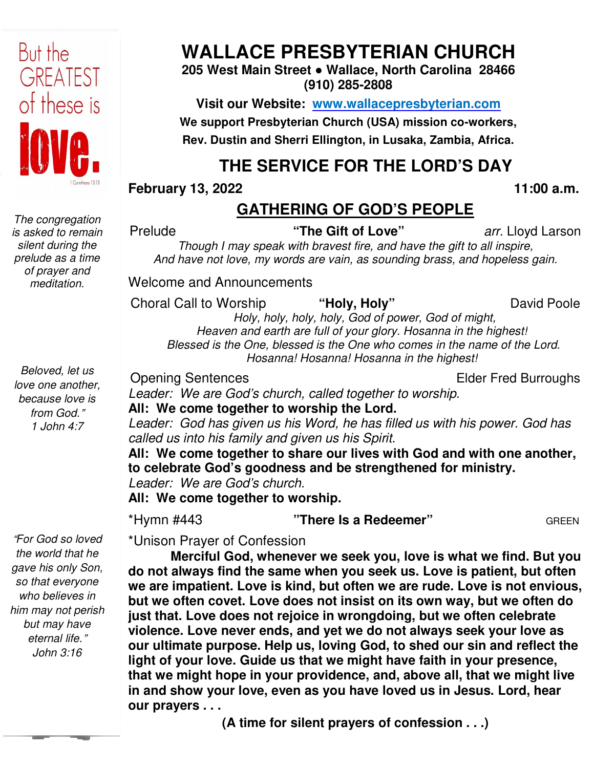

*The congregation is asked to remain silent during the prelude as a time of prayer and meditation.* 

*Beloved, let us love one another, because love is from God.*" *1 John 4:7*

"*For God so loved the world that he gave his only Son, so that everyone who believes in him may not perish but may have eternal life.*" *John 3:16* 

# **WALLACE PRESBYTERIAN CHURCH**

**205 West Main Street ● Wallace, North Carolina 28466 (910) 285-2808** 

**Visit our Website: www.wallacepresbyterian.com** We support Presbyterian Church (USA) mission co-workers, Rev. Dustin and Sherri Ellington, in Lusaka, Zambia, Africa.

# **THE SERVICE FOR THE LORD'S DAY**

**February 13, 2022** 

## **GATHERING OF GOD'S PEOPLE**

Prelude

**"The Gift of Love"** *arr.* Lloyd Lars

*Though I may speak with bravest fire, and have the gift to all inspire Though I have inspire, And have not love, my words are vain, as sounding brass, and hopeless gain have my words gain.* 

Welcome and Announcements<br>Choral Call to Worship "**Holy, Holy"** David Pool

Choral Call to Worship

David Poole

 **11:00 a.m.**

 *Holy, holy, holy, holy, God of power, God of might Holy, holy, might, Heaven and earth are full of your glory. Hosanna in the highest! Blessed is the One, blessed is the One who comes in the name of the Lord. are is One who is the One, blessed Hosanna! Hosanna! Hosanna in the highest!*

Opening Sentences

Elder Fred Burroughs

*Leader: We are God's church, called together to worship.*

**All: We come together to worship the Lord.**

Leader: God has given us his Word, he has filled us with his power. God has *called us into his family and given us his Spirit.*

**All: We come together to share our lives with God and with one another, God** All: We come together to share our lives with God and with on<br>to celebrate God's goodness and be strengthened for ministry. *Leader: We are God's church.*

**All: We come together to worship.**

\*Hymn #443

**"There Is a Redeemer"** 

GREEN

\*Unison Prayer of Confession

**Merciful God, whenever we seek you, love is what we find. But But you do not always find the same when you seek us. Love is patient, but often we are impatient. Love is kind, but often we are rude. Love is not envious, but we often covet. Love does not insist on its own way, but we often do**  just that. Love does not rejoice in wrongdoing, but we often celebrate **violence. Love never ends, and yet we do not always seek your love as our ultimate purpose. Help us, loving God, to shed our sin and reflect the light of your love. Guide us that we might have faith in your presence** that we might hope in your providence, and, above all, that we might live **in and show your love, even as you have loved us in Jesus. Lord, hear our prayers . . .**  do not always find the same when you seek us. Love is patient, but oft<br>we are impatient. Love is kind, but often we are rude. Love is not envic<br>but we often covet. Love does not insist on its own way, but we often c<br>just t ude<br>
Though I may speak with bracest fire, and have the gift to all inspire,<br>
And have not love, my words are vain, as sounding brass, and hopeless gain.<br>
come and Announcements<br>
real Call to Worship<br>
Holy, Holy"<br>
Holy, Ho

**(A time for silent prayers of confession . . .)**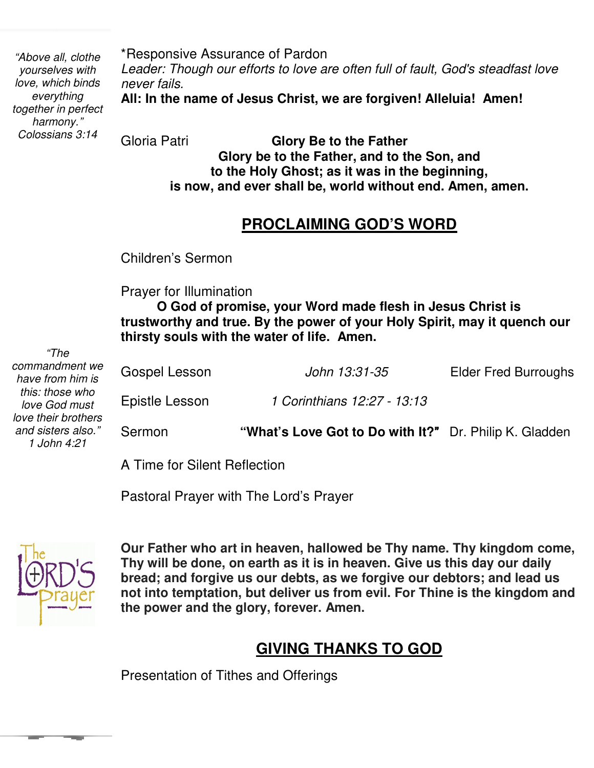*"Above all, clothe yourselves with love, which binds everything together in perfect harmony." Colossians 3:14* 

\*Responsive Assurance of Pardon *Leader: Though our efforts to love are often full of fault, God's steadfast love never fails.* 

**All: In the name of Jesus Christ, we are forgiven! Alleluia! Amen!**

Gloria Patri **Glory Be to the Father Glory be to the Father, and to the Son, and to the Holy Ghost; as it was in the beginning, is now, and ever shall be, world without end. Amen, amen.** 

#### **PROCLAIMING GOD'S WORD**

Children's Sermon

Prayer for Illumination

 **trustworthy and true. By the power of your Holy Spirit, may it quench our O God of promise, your Word made flesh in Jesus Christ is thirsty souls with the water of life. Amen.**

| ,,,,,<br>commandment we<br>have from him is             | Gospel Lesson  | John 13:31-35                                          | <b>Elder Fred Burroughs</b> |
|---------------------------------------------------------|----------------|--------------------------------------------------------|-----------------------------|
| this: those who<br>love God must<br>love their brothers | Epistle Lesson | 1 Corinthians 12:27 - 13:13                            |                             |
| and sisters also."<br>1 John 4:21                       | Sermon         | "What's Love Got to Do with It?" Dr. Philip K. Gladden |                             |

A Time for Silent Reflection

Pastoral Prayer with The Lord's Prayer



*"The* 

 **not into temptation, but deliver us from evil. For Thine is the kingdom and Our Father who art in heaven, hallowed be Thy name. Thy kingdom come, Thy will be done, on earth as it is in heaven. Give us this day our daily bread; and forgive us our debts, as we forgive our debtors; and lead us the power and the glory, forever. Amen.** 

#### **GIVING THANKS TO GOD**

Presentation of Tithes and Offerings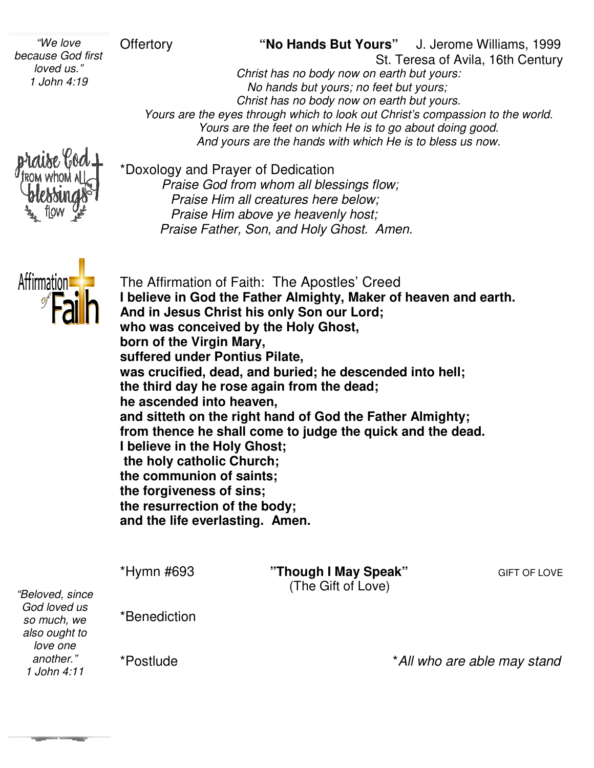Offertory **"No Hands But Yours** St. Teresa of Avila, 16th Centur St. Century J. Jerome Williams, 1999

*Christ has no body now on earth but yours: No hands but yours; no feet but yours; yours; Christ has no body now on earth but yours. Yours"* J. Jerome Williams, 199<br> *St. Teresa of Avila, 16th Centures*<br> *Christ has no body now on earth but yours:*<br> *No hands but yours; no feet but yours;<br>
Christ has no body now on earth but yours.*<br> *Yours are the eye Yours are the feet on which He is to go about doing good. Yours are the feet on which He is to go about doing good.*<br>And yours are the hands with which He is to bless us now.



*"We love because God first loved us." 1 John 4:19* 

> \*Doxology and Prayer of Dedication *Praise God from whom all blessings flow; Praise Him all creatures here below; Praise Him above ye heavenly host; Praise Father, Son, and Holy Ghost. Amen. Praise God from whom all ble*<br>*Praise Him all creatures her*<br>*Praise Him above ye heave*<br>*Praise Father, Son, and Holy*



The Affirmation of Faith: The Apostles' Creed **I believe in God the Father Almighty, Maker of heaven and earth. And in Jesus Christ his only Son our Lord; Christ Lord; who was conceived by the Holy Ghost, the Ghost, born of the Virgin Mary, suffered under Pontius Pilate, Pilate, was crucified, dead, and buried; he descended into hell;**  the third day he rose again from the dead; **he ascended into heaven, and sitteth on the right hand of God the Father Almighty; from thence he shall come to judge the quick and the dead. I believe in the Holy Ghost; the holy catholic Church; the communion of saints; saints; the forgiveness of sins; the resurrection of the body; of body; and the life everlasting. Amen.** ascended into heaven,<br>**d sitteth on the right hand of God the Father**<br>m thence he shall come to judge the quick a<br>elieve in the Holy Ghost;<br>e holy catholic Church;

*"Beloved, since God loved us so much, we also ought to love one another." 1 John 4:11*

\*Hymn #693

"Though I May Speak" (The Gift of Love)

**GIFT OF LOVE** 

\*Benediction

\*Postlude

\**All who are able may stand All may*